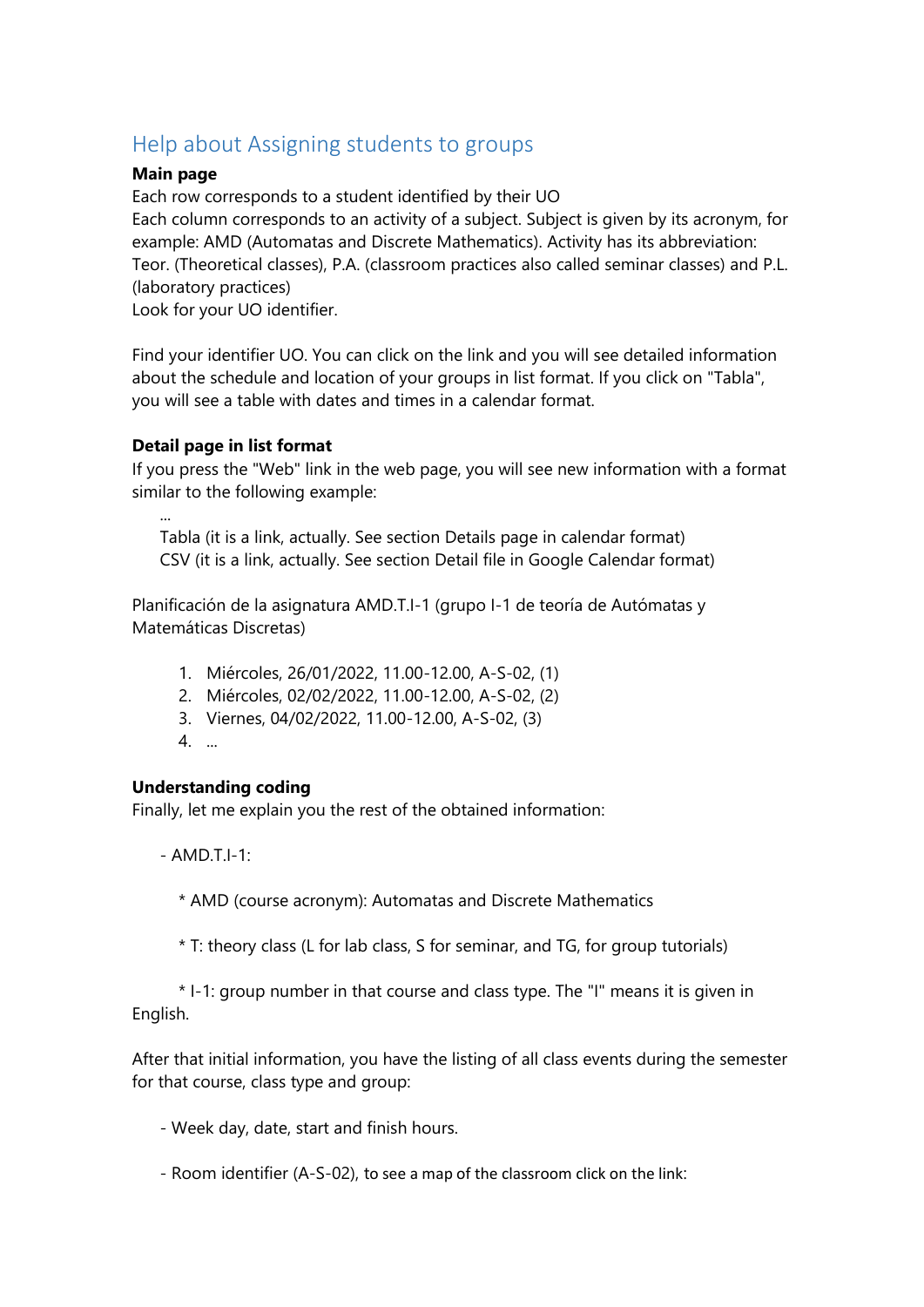# Help about Assigning students to groups

## **Main page**

Each row corresponds to a student identified by their UO Each column corresponds to an activity of a subject. Subject is given by its acronym, for example: AMD (Automatas and Discrete Mathematics). Activity has its abbreviation: Teor. (Theoretical classes), P.A. (classroom practices also called seminar classes) and P.L. (laboratory practices)

Look for your UO identifier.

Find your identifier UO. You can click on the link and you will see detailed information about the schedule and location of your groups in list format. If you click on "Tabla", you will see a table with dates and times in a calendar format.

## **Detail page in list format**

If you press the "Web" link in the web page, you will see new information with a format similar to the following example:

 Tabla (it is a link, actually. See section Details page in calendar format) CSV (it is a link, actually. See section Detail file in Google Calendar format)

Planificación de la asignatura AMD.T.I-1 (grupo I-1 de teoría de Autómatas y Matemáticas Discretas)

- 1. Miércoles, 26/01/2022, 11.00-12.00, A-S-02, (1)
- 2. Miércoles, 02/02/2022, 11.00-12.00, A-S-02, (2)
- 3. Viernes, 04/02/2022, 11.00-12.00, A-S-02, (3)
- 4. ...

...

### **Understanding coding**

Finally, let me explain you the rest of the obtained information:

 $-MD$  T I-1:

\* AMD (course acronym): Automatas and Discrete Mathematics

\* T: theory class (L for lab class, S for seminar, and TG, for group tutorials)

 \* I-1: group number in that course and class type. The "I" means it is given in English.

After that initial information, you have the listing of all class events during the semester for that course, class type and group:

- Week day, date, start and finish hours.

- Room identifier (A-S-02), to see a map of the classroom click on the link: